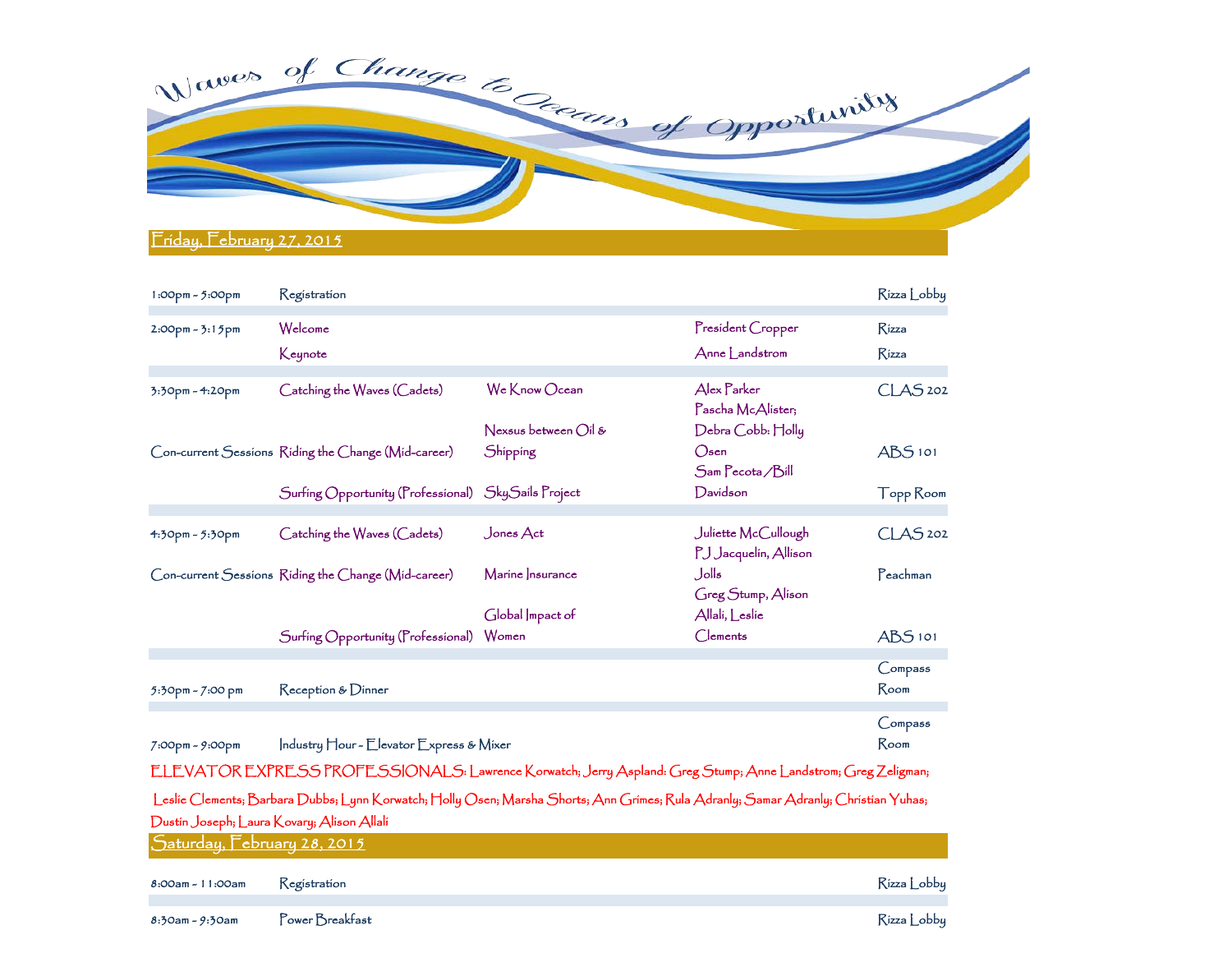

| 1:00pm - 5:00pm                                                                                                                                                                                                          | Registration                                        |                                |                                              | Rizza Lobby         |  |  |  |
|--------------------------------------------------------------------------------------------------------------------------------------------------------------------------------------------------------------------------|-----------------------------------------------------|--------------------------------|----------------------------------------------|---------------------|--|--|--|
| $2:00$ pm - $3:15$ pm                                                                                                                                                                                                    | Welcome                                             |                                | President Cropper                            | <b>Rizza</b>        |  |  |  |
|                                                                                                                                                                                                                          | Keynote                                             |                                | Anne Landstrom                               | <b>R</b> izza       |  |  |  |
| 3:30pm - 4:20pm                                                                                                                                                                                                          | Catching the Waves (Cadets)                         | We Know Ocean                  | Alex Parker<br>Pascha McAlister;             | CLAS <sub>202</sub> |  |  |  |
|                                                                                                                                                                                                                          |                                                     | Nexsus between $\bigcirc$ il & | Debra Cobb: Holly                            |                     |  |  |  |
|                                                                                                                                                                                                                          | Con-current Sessions Riding the Change (Mid-career) | Shipping                       | O <sub>sen</sub><br>Sam Pecota / Bill        | ABS <sub>101</sub>  |  |  |  |
|                                                                                                                                                                                                                          | Surfing Opportunity (Professional) SkySails Project |                                | Davidson                                     | Topp Room           |  |  |  |
| 4:30pm - 5:30pm                                                                                                                                                                                                          | Catching the Waves (Cadets)                         | Jones $Act$                    | Juliette McCullough<br>PJ Jacquelin, Allison | CLAS <sub>202</sub> |  |  |  |
|                                                                                                                                                                                                                          | Con-current Sessions Riding the Change (Mid-career) | Marine Insurance               | ءااەل<br>Greg Stump, Alison                  | Peachman            |  |  |  |
|                                                                                                                                                                                                                          | $S$ urfing $O$ pportunity ( $\Gamma$ rofessional)   | Global Impact of<br>Women      | Allali, Leslie<br>Clements                   | ABS <sub>101</sub>  |  |  |  |
| 5:30pm - 7:00 pm                                                                                                                                                                                                         | Reception & Dinner                                  |                                |                                              | Compass<br>Room     |  |  |  |
| 7:00pm - 9:00pm                                                                                                                                                                                                          | Industry Hour - Elevator Express & Mixer            |                                |                                              | Compass<br>Room     |  |  |  |
| ELEVATOR EXPRESS PROFESSIONALS: Lawrence Korwatch; Jerry Aspland: Greg Stump; Anne Landstrom; Greg Zeligman;                                                                                                             |                                                     |                                |                                              |                     |  |  |  |
| Leslie Clements; Barbara Dubbs; Lynn Korwatch; Holly Osen; Marsha Shorts; Ann Grímes; Rula Adranly; Samar Adranly; Chrístían Yuhas;<br>Dustin Joseph; Laura Kovary; Alison Allali<br><u> Saturday, February 28, 2015</u> |                                                     |                                |                                              |                     |  |  |  |
| 8:00am - 11:00am                                                                                                                                                                                                         | Registration                                        |                                |                                              | Rizza Lobby         |  |  |  |

8:30am - 9:30am Power Breakfast Rizza Lobby